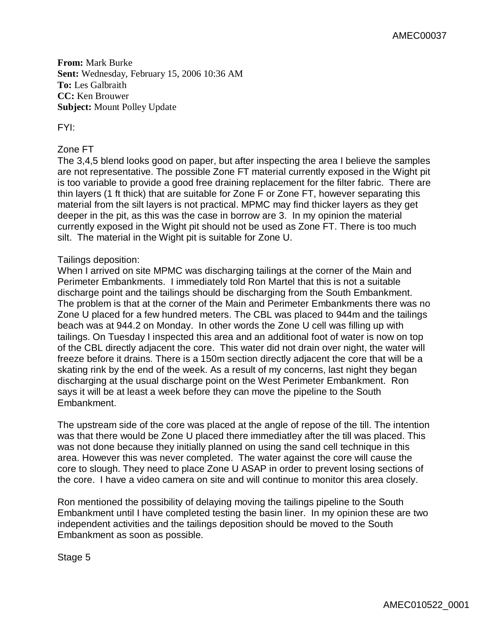**From:** Mark Burke **Sent:** Wednesday, February 15, 2006 10:36 AM **To:** Les Galbraith **CC:** Ken Brouwer **Subject:** Mount Polley Update

FYI:

## Zone FT

The 3,4,5 blend looks good on paper, but after inspecting the area I believe the samples are not representative. The possible Zone FT material currently exposed in the Wight pit is too variable to provide a good free draining replacement for the filter fabric. There are thin layers (1 ft thick) that are suitable for Zone F or Zone FT, however separating this material from the silt layers is not practical. MPMC may find thicker layers as they get deeper in the pit, as this was the case in borrow are 3. In my opinion the material currently exposed in the Wight pit should not be used as Zone FT. There is too much silt. The material in the Wight pit is suitable for Zone U.

## Tailings deposition:

When I arrived on site MPMC was discharging tailings at the corner of the Main and Perimeter Embankments. I immediately told Ron Martel that this is not a suitable discharge point and the tailings should be discharging from the South Embankment. The problem is that at the corner of the Main and Perimeter Embankments there was no Zone U placed for a few hundred meters. The CBL was placed to 944m and the tailings beach was at 944.2 on Monday. In other words the Zone U cell was filling up with tailings. On Tuesday I inspected this area and an additional foot of water is now on top of the CBL directly adjacent the core. This water did not drain over night, the water will freeze before it drains. There is a 150m section directly adjacent the core that will be a skating rink by the end of the week. As a result of my concerns, last night they began discharging at the usual discharge point on the West Perimeter Embankment. Ron says it will be at least a week before they can move the pipeline to the South Embankment.

The upstream side of the core was placed at the angle of repose of the till. The intention was that there would be Zone U placed there immediatley after the till was placed. This was not done because they initially planned on using the sand cell technique in this area. However this was never completed. The water against the core will cause the core to slough. They need to place Zone U ASAP in order to prevent losing sections of the core. I have a video camera on site and will continue to monitor this area closely.

Ron mentioned the possibility of delaying moving the tailings pipeline to the South Embankment until I have completed testing the basin liner. In my opinion these are two independent activities and the tailings deposition should be moved to the South Embankment as soon as possible.

Stage 5